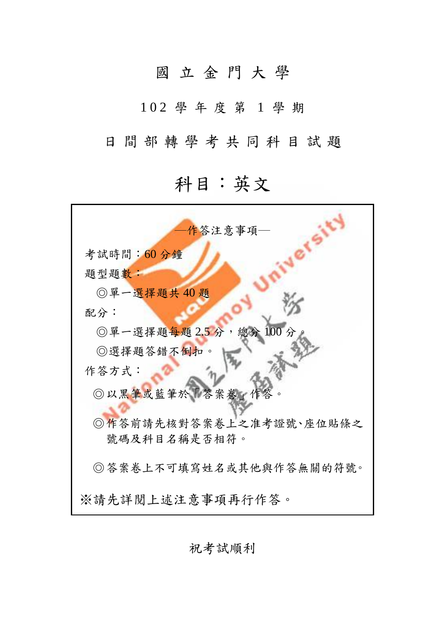## 國 立 金 門 大 學

1 0 2 學 年 度 第 1 學 期

日間部轉學考共同科目試題

## 科目:英文

| -作答注意事項—                |
|-------------------------|
| 考試時間:60分鐘               |
| 題型題數:                   |
| ◎單一選擇題共40題              |
| 配分:                     |
| ◎單一選擇題每題2.5分,總分<br>100分 |
| ◎選擇題答錯不倒扣。              |
| 作答方式:                   |
| ◎以黑筆或藍筆於「答案卷」作答         |
| ◎作答前請先核對答案卷上之准考證號、座位貼條之 |
| 號碼及科目名稱是否相符。            |
| ◎答案卷上不可填寫姓名或其他與作答無關的符號。 |
| ※請先詳閲上述注意事項再行作答。        |

祝考試順利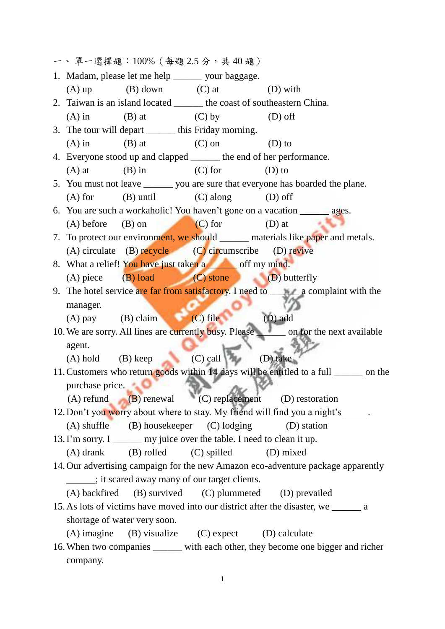| 一、單一選擇題:100% (每題2.5分,共40題)                                                      |                                |                                                                          |                                                                                           |  |  |
|---------------------------------------------------------------------------------|--------------------------------|--------------------------------------------------------------------------|-------------------------------------------------------------------------------------------|--|--|
|                                                                                 |                                | 1. Madam, please let me help ______ your baggage.                        |                                                                                           |  |  |
| $(A)$ up                                                                        | $(B)$ down $(C)$ at            |                                                                          | $(D)$ with                                                                                |  |  |
|                                                                                 |                                |                                                                          | 2. Taiwan is an island located ________ the coast of southeastern China.                  |  |  |
| $(A)$ in                                                                        | $(B)$ at                       | $(C)$ by                                                                 | $(D)$ off                                                                                 |  |  |
|                                                                                 |                                | 3. The tour will depart _______ this Friday morning.                     |                                                                                           |  |  |
| $(A)$ in                                                                        | $(B)$ at $(C)$ on              |                                                                          | $(D)$ to                                                                                  |  |  |
|                                                                                 |                                |                                                                          | 4. Everyone stood up and clapped _______ the end of her performance.                      |  |  |
| $(A)$ at                                                                        | $(B)$ in                       | $(C)$ for                                                                | $(D)$ to                                                                                  |  |  |
| 5. You must not leave _______ you are sure that everyone has boarded the plane. |                                |                                                                          |                                                                                           |  |  |
| $(A)$ for                                                                       | $(B)$ until $(C)$ along        |                                                                          | $(D)$ off                                                                                 |  |  |
|                                                                                 |                                |                                                                          | 6. You are such a workaholic! You haven't gone on a vacation ________ ages.               |  |  |
| $(A)$ before                                                                    | (B) on                         | $(C)$ for                                                                | $(D)$ at                                                                                  |  |  |
|                                                                                 |                                |                                                                          | 7. To protect our environment, we should _______ materials like paper and metals.         |  |  |
|                                                                                 |                                | $(A)$ circulate $(B)$ recycle $(C)$ circumscribe $(D)$ revive            |                                                                                           |  |  |
|                                                                                 |                                | 8. What a relief! You have just taken a second off my mind.              |                                                                                           |  |  |
|                                                                                 |                                | (A) piece (B) load (C) stone (D) butterfly                               |                                                                                           |  |  |
|                                                                                 |                                |                                                                          | 9. The hotel service are far from satisfactory. I need to <b>All a</b> complaint with the |  |  |
| manager.                                                                        |                                |                                                                          |                                                                                           |  |  |
|                                                                                 | (A) pay $(B)$ claim $(C)$ file |                                                                          | (D) add                                                                                   |  |  |
|                                                                                 |                                |                                                                          | 10. We are sorry. All lines are currently busy. Please ______ on for the next available   |  |  |
| agent.                                                                          |                                |                                                                          |                                                                                           |  |  |
| $(A)$ hold $(B)$ keep                                                           |                                | $(C)$ call                                                               | (D) take                                                                                  |  |  |
|                                                                                 |                                |                                                                          | 11. Customers who return goods within 14 days will be entitled to a full _______ on the   |  |  |
| purchase price.                                                                 |                                |                                                                          |                                                                                           |  |  |
|                                                                                 |                                |                                                                          | $(A)$ refund $(B)$ renewal $(C)$ replacement $(D)$ restoration                            |  |  |
|                                                                                 |                                |                                                                          | 12. Don't you worry about where to stay. My friend will find you a night's _____.         |  |  |
|                                                                                 |                                | $(A)$ shuffle $(B)$ housekeeper $(C)$ lodging                            | (D) station                                                                               |  |  |
|                                                                                 |                                | 13. I'm sorry. I _______ my juice over the table. I need to clean it up. |                                                                                           |  |  |
|                                                                                 |                                | (A) drank (B) rolled (C) spilled                                         | (D) mixed                                                                                 |  |  |
|                                                                                 |                                |                                                                          | 14. Our advertising campaign for the new Amazon eco-adventure package apparently          |  |  |
|                                                                                 |                                | , it scared away many of our target clients.                             |                                                                                           |  |  |
|                                                                                 |                                |                                                                          | (A) backfired (B) survived (C) plummeted (D) prevailed                                    |  |  |
|                                                                                 |                                |                                                                          | 15. As lots of victims have moved into our district after the disaster, we ______ a       |  |  |
|                                                                                 | shortage of water very soon.   |                                                                          |                                                                                           |  |  |
|                                                                                 |                                | (A) imagine (B) visualize (C) expect (D) calculate                       |                                                                                           |  |  |
|                                                                                 |                                |                                                                          | 16. When two companies ______ with each other, they become one bigger and richer          |  |  |
| company.                                                                        |                                |                                                                          |                                                                                           |  |  |

1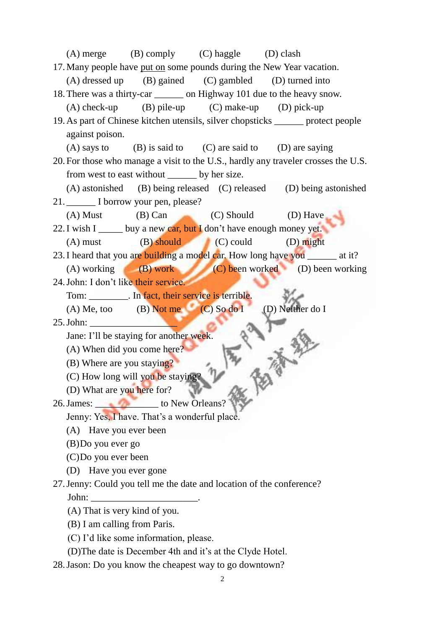| (A) merge (B) comply (C) haggle (D) clash                                          |  |  |  |  |  |  |
|------------------------------------------------------------------------------------|--|--|--|--|--|--|
| 17. Many people have put on some pounds during the New Year vacation.              |  |  |  |  |  |  |
| (A) dressed up (B) gained (C) gambled (D) turned into                              |  |  |  |  |  |  |
| 18. There was a thirty-car _________ on Highway 101 due to the heavy snow.         |  |  |  |  |  |  |
| $(A)$ check-up $(B)$ pile-up $(C)$ make-up $(D)$ pick-up                           |  |  |  |  |  |  |
| 19. As part of Chinese kitchen utensils, silver chopsticks _______ protect people  |  |  |  |  |  |  |
| against poison.                                                                    |  |  |  |  |  |  |
| (A) says to $(B)$ is said to $(C)$ are said to $(D)$ are saying                    |  |  |  |  |  |  |
| 20. For those who manage a visit to the U.S., hardly any traveler crosses the U.S. |  |  |  |  |  |  |
| from west to east without ________ by her size.                                    |  |  |  |  |  |  |
| (A) astonished (B) being released (C) released (D) being astonished                |  |  |  |  |  |  |
| 21. I borrow your pen, please?                                                     |  |  |  |  |  |  |
| (A) Must (B) Can (C) Should (D) Have                                               |  |  |  |  |  |  |
| 22. I wish I ______ buy a new car, but I don't have enough money yet.              |  |  |  |  |  |  |
| $(A)$ must $(B)$ should $(C)$ could $(D)$ might                                    |  |  |  |  |  |  |
| 23. I heard that you are building a model car. How long have you _______ at it?    |  |  |  |  |  |  |
| (A) working (B) work (C) been worked (D) been working                              |  |  |  |  |  |  |
| 24. John: I don't like their service.                                              |  |  |  |  |  |  |
| Tom: __________. In fact, their service is terrible.                               |  |  |  |  |  |  |
| (A) Me, too (B) Not me (C) So do I<br>(D) Neither do I                             |  |  |  |  |  |  |
|                                                                                    |  |  |  |  |  |  |
| Jane: I'll be staying for another week.                                            |  |  |  |  |  |  |
| (A) When did you come here?                                                        |  |  |  |  |  |  |
| (B) Where are you staying?                                                         |  |  |  |  |  |  |
| (C) How long will you be staying?                                                  |  |  |  |  |  |  |
| (D) What are you here for?                                                         |  |  |  |  |  |  |
| 26. James: to New Orleans?                                                         |  |  |  |  |  |  |
| Jenny: Yes, I have. That's a wonderful place.                                      |  |  |  |  |  |  |
| (A) Have you ever been                                                             |  |  |  |  |  |  |
| $(B)$ Do you ever go                                                               |  |  |  |  |  |  |
| (C)Do you ever been                                                                |  |  |  |  |  |  |
| (D) Have you ever gone                                                             |  |  |  |  |  |  |
| 27. Jenny: Could you tell me the date and location of the conference?              |  |  |  |  |  |  |
|                                                                                    |  |  |  |  |  |  |
| (A) That is very kind of you.                                                      |  |  |  |  |  |  |
| (B) I am calling from Paris.                                                       |  |  |  |  |  |  |
| (C) I'd like some information, please.                                             |  |  |  |  |  |  |

- (D)The date is December 4th and it's at the Clyde Hotel.
- 28.Jason: Do you know the cheapest way to go downtown?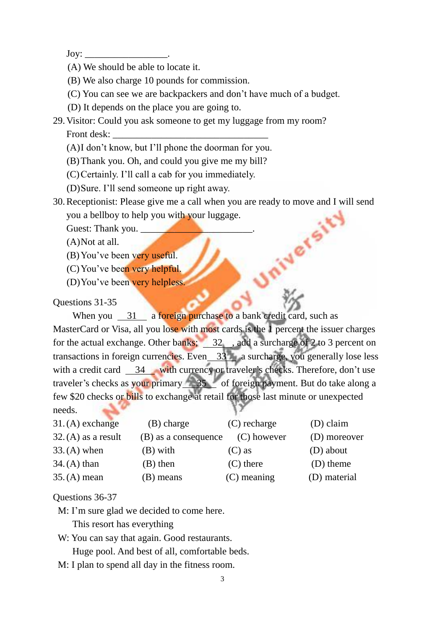$\text{Jov:}$ 

- (A) We should be able to locate it.
- (B) We also charge 10 pounds for commission.
- (C) You can see we are backpackers and don't have much of a budget.
- (D) It depends on the place you are going to.
- 29.Visitor: Could you ask someone to get my luggage from my room? Front desk:
	- (A)I don't know, but I'll phone the doorman for you.
	- (B)Thank you. Oh, and could you give me my bill?
	- (C)Certainly. I'll call a cab for you immediately.
	- (D)Sure. I'll send someone up right away.
- 30.Receptionist: Please give me a call when you are ready to move and I will send you a bellboy to help you with your luggage.

Guest: Thank you. \_\_\_\_\_\_\_\_\_\_\_\_\_\_\_\_\_\_\_\_\_\_\_.

(A)Not at all.

- (B) You've been very useful.
- (C)You've been very helpful.
- (D)You've been very helpless.

## Questions 31-35

When you 31 a foreign purchase to a bank credit card, such as MasterCard or Visa, all you lose with most cards is the 1 percent the issuer charges for the actual exchange. Other banks;  $\frac{32}{100}$ , add a surcharge of 2 to 3 percent on transactions in foreign currencies. Even  $33$  a surcharge, you generally lose less with a credit card  $\frac{34}{10}$  with currency or traveler's checks. Therefore, don't use traveler's checks as your primary 35 of foreign payment. But do take along a few \$20 checks or bills to exchange at retail for those last minute or unexpected needs.

| $31.$ (A) exchange    | (B) charge           | $(C)$ recharge | (D) claim    |
|-----------------------|----------------------|----------------|--------------|
| $32.$ (A) as a result | (B) as a consequence | $(C)$ however  | (D) moreover |
| $33. (A)$ when        | (B) with             | $(C)$ as       | (D) about    |
| $34. (A)$ than        | $(B)$ then           | $(C)$ there    | (D) theme    |
| $35. (A)$ mean        | (B) means            | $(C)$ meaning  | (D) material |

Questions 36-37

- M: I'm sure glad we decided to come here.
	- This resort has everything
- W: You can say that again. Good restaurants.

Huge pool. And best of all, comfortable beds.

M: I plan to spend all day in the fitness room.